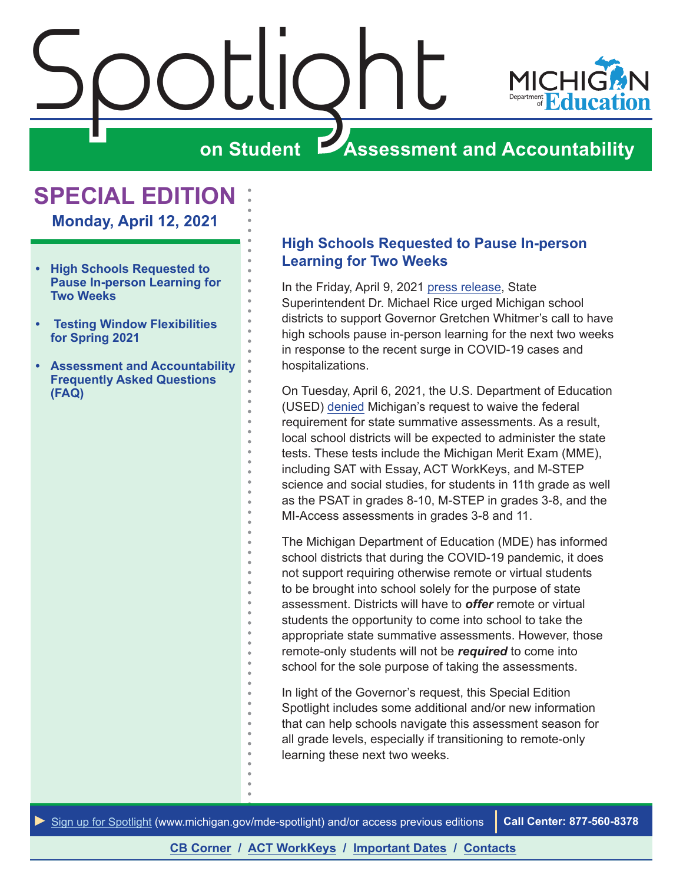<span id="page-0-0"></span>

## **SPECIAL EDITION**

**Monday, April 12, 2021**

- **• High Schools Requested to Pause In-person Learning for Two Weeks**
- **• [Testing Window Flexibilities](#page-1-0)  [for Spring 2021](#page-1-0)**
- **• [Assessment and Accountability](#page-2-0)  [Frequently Asked Questions](#page-2-0)  [\(FAQ\)](#page-2-0)**

#### **High Schools Requested to Pause In-person Learning for Two Weeks**

In the Friday, April 9, 2021 [press release](https://www.michigan.gov/mde/0,4615,7-140-37818_34785-556715--,00.html), State Superintendent Dr. Michael Rice urged Michigan school districts to support Governor Gretchen Whitmer's call to have high schools pause in-person learning for the next two weeks in response to the recent surge in COVID-19 cases and hospitalizations.

On Tuesday, April 6, 2021, the U.S. Department of Education (USED) [denied](https://www.michigan.gov/mde/0,4615,7-140-5373_6526_6551-556365--,00.html) Michigan's request to waive the federal requirement for state summative assessments. As a result, local school districts will be expected to administer the state tests. These tests include the Michigan Merit Exam (MME), including SAT with Essay, ACT WorkKeys, and M-STEP science and social studies, for students in 11th grade as well as the PSAT in grades 8-10, M-STEP in grades 3-8, and the MI-Access assessments in grades 3-8 and 11.

The Michigan Department of Education (MDE) has informed school districts that during the COVID-19 pandemic, it does not support requiring otherwise remote or virtual students to be brought into school solely for the purpose of state assessment. Districts will have to *offer* remote or virtual students the opportunity to come into school to take the appropriate state summative assessments. However, those remote-only students will not be *required* to come into school for the sole purpose of taking the assessments.

In light of the Governor's request, this Special Edition Spotlight includes some additional and/or new information that can help schools navigate this assessment season for all grade levels, especially if transitioning to remote-only learning these next two weeks.

*►* [Sign up for Spotlight](https://public.govdelivery.com/accounts/MIMDE/subscriber/new) [\(www.michigan.gov/mde](www.michigan.gov/mde-spotlight)-spotlight) and/or access previous editions **Call Center: 877-560-8378**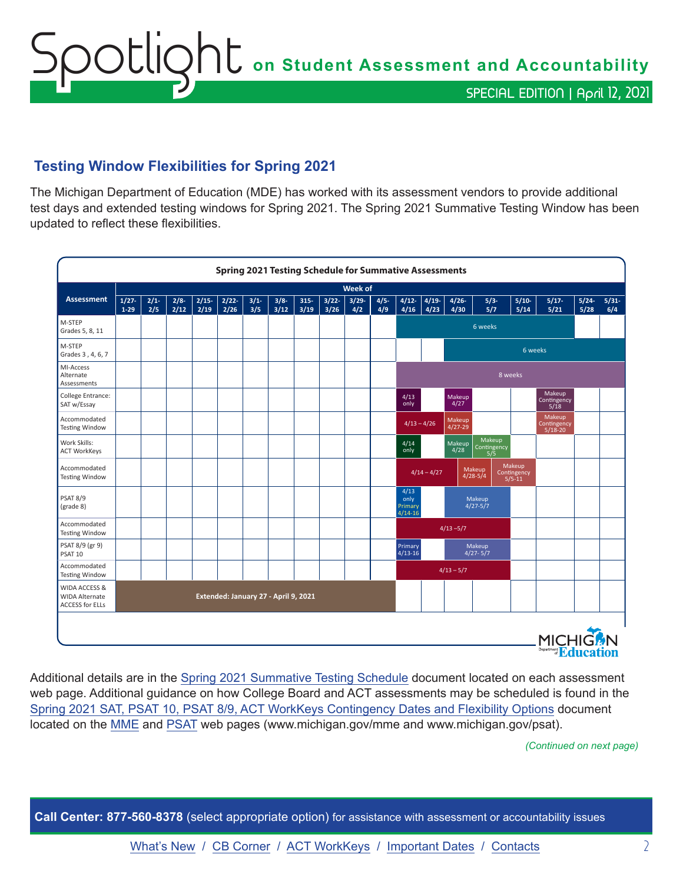# <span id="page-1-0"></span>Spotlight **on Student Assessment and Accountability** SPECIAL EDITION | April 12, 2021

### **Testing Window Flexibilities for Spring 2021**

The Michigan Department of Education (MDE) has worked with its assessment vendors to provide additional test days and extended testing windows for Spring 2021. The Spring 2021 Summative Testing Window has been updated to reflect these flexibilities.

|                                                                  |                      |            |             |                 |              |            | <b>Spring 2021 Testing Schedule for Summative Assessments</b> |                 |              |                 |                |                                      |                  |                       |                              |                                     |                 |                                  |              |             |
|------------------------------------------------------------------|----------------------|------------|-------------|-----------------|--------------|------------|---------------------------------------------------------------|-----------------|--------------|-----------------|----------------|--------------------------------------|------------------|-----------------------|------------------------------|-------------------------------------|-----------------|----------------------------------|--------------|-------------|
|                                                                  |                      |            |             |                 |              |            |                                                               |                 |              | <b>Week of</b>  |                |                                      |                  |                       |                              |                                     |                 |                                  |              |             |
| <b>Assessment</b>                                                | $1/27 -$<br>$1 - 29$ | 2/1<br>2/5 | 2/8<br>2/12 | $2/15-$<br>2/19 | 2/22<br>2/26 | 3/1<br>3/5 | $3/8 -$<br>3/12                                               | $315 -$<br>3/19 | 3/22<br>3/26 | $3/29 -$<br>4/2 | $4/5 -$<br>4/9 | $4/12-$<br>4/16                      | $4/19$ -<br>4/23 | $4/26 -$<br>4/30      | $5/3-$<br>5/7                |                                     | $5/10-$<br>5/14 | $5/17-$<br>5/21                  | 5/24<br>5/28 | 5/31<br>6/4 |
| M-STEP<br>Grades 5, 8, 11                                        |                      |            |             |                 |              |            |                                                               |                 |              |                 |                |                                      |                  |                       | 6 weeks                      |                                     |                 |                                  |              |             |
| M-STEP<br>Grades 3, 4, 6, 7                                      |                      |            |             |                 |              |            |                                                               |                 |              |                 |                |                                      |                  |                       |                              |                                     | 6 weeks         |                                  |              |             |
| MI-Access<br>Alternate<br>Assessments                            |                      |            |             |                 |              |            |                                                               |                 |              |                 |                |                                      |                  |                       |                              | 8 weeks                             |                 |                                  |              |             |
| College Entrance:<br>SAT w/Essay                                 |                      |            |             |                 |              |            |                                                               |                 |              |                 |                | 4/13<br>only                         |                  | Makeup<br>4/27        |                              |                                     |                 | Makeup<br>Contingency<br>5/18    |              |             |
| Accommodated<br><b>Testing Window</b>                            |                      |            |             |                 |              |            |                                                               |                 |              |                 |                | $4/13 - 4/26$                        |                  | Makeup<br>$4/27 - 29$ |                              |                                     |                 | Makeup<br>Contingency<br>5/18-20 |              |             |
| Work Skills:<br><b>ACT WorkKeys</b>                              |                      |            |             |                 |              |            |                                                               |                 |              |                 |                | 4/14<br>only                         |                  | Makeup<br>4/28        | Makeup<br>Contingency<br>5/5 |                                     |                 |                                  |              |             |
| Accommodated<br><b>Testing Window</b>                            |                      |            |             |                 |              |            |                                                               |                 |              |                 |                |                                      | $4/14 - 4/27$    |                       | Makeup<br>$4/28 - 5/4$       | Makeup<br>Contingency<br>$5/5 - 11$ |                 |                                  |              |             |
| <b>PSAT 8/9</b><br>(grade 8)                                     |                      |            |             |                 |              |            |                                                               |                 |              |                 |                | 4/13<br>only<br>Primary<br>$4/14-16$ |                  |                       | Makeup<br>$4/27 - 5/7$       |                                     |                 |                                  |              |             |
| Accommodated<br><b>Testing Window</b>                            |                      |            |             |                 |              |            |                                                               |                 |              |                 |                |                                      |                  | $4/13 - 5/7$          |                              |                                     |                 |                                  |              |             |
| PSAT 8/9 (gr 9)<br>PSAT 10                                       |                      |            |             |                 |              |            |                                                               |                 |              |                 |                | Primary<br>$4/13 - 16$               |                  |                       | Makeup<br>$4/27 - 5/7$       |                                     |                 |                                  |              |             |
| Accommodated<br><b>Testing Window</b>                            |                      |            |             |                 |              |            |                                                               |                 |              |                 |                |                                      |                  | $4/13 - 5/7$          |                              |                                     |                 |                                  |              |             |
| WIDA ACCESS &<br><b>WIDA Alternate</b><br><b>ACCESS for ELLs</b> |                      |            |             |                 |              |            | Extended: January 27 - April 9, 2021                          |                 |              |                 |                |                                      |                  |                       |                              |                                     |                 |                                  |              |             |

Additional details are in the [Spring 2021 Summative Testing Schedule](https://www.michigan.gov/documents/mde/Testing_Schedule_for_Summative_Assessments_635008_7.pdf) document located on each assessment web page. Additional guidance on how College Board and ACT assessments may be scheduled is found in the [Spring 2021 SAT, PSAT 10, PSAT 8/9, ACT WorkKeys Contingency Dates and Flexibility Options](https://www.michigan.gov/documents/mde/Spring_2021_Contingency_Test_Dates_and_Flexibility_Options_710735_7.pdf) document located on the [MME](www.michigan.gov/mme) and [PSAT](http://www.michigan.gov/psat) web pages (www.michigan.gov/mme and www.michigan.gov/psat).

*(Continued on next page)*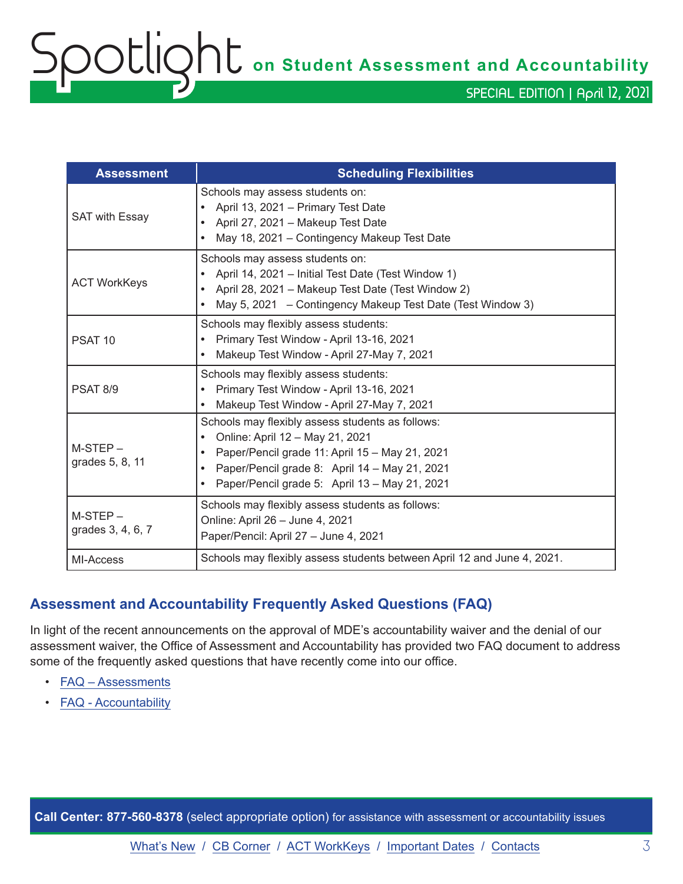<span id="page-2-0"></span>Spotlight **on Student Assessment and Accountability**

SPECIAL EDITION | April 12, 2021

| <b>Assessment</b>              | <b>Scheduling Flexibilities</b>                                                                                                                                                                                                                                                |
|--------------------------------|--------------------------------------------------------------------------------------------------------------------------------------------------------------------------------------------------------------------------------------------------------------------------------|
| <b>SAT with Essay</b>          | Schools may assess students on:<br>April 13, 2021 - Primary Test Date<br>$\bullet$<br>April 27, 2021 - Makeup Test Date<br>$\bullet$<br>May 18, 2021 – Contingency Makeup Test Date                                                                                            |
| <b>ACT WorkKeys</b>            | Schools may assess students on:<br>April 14, 2021 – Initial Test Date (Test Window 1)<br>$\bullet$<br>April 28, 2021 - Makeup Test Date (Test Window 2)<br>$\bullet$<br>May 5, 2021 - Contingency Makeup Test Date (Test Window 3)                                             |
| PSAT <sub>10</sub>             | Schools may flexibly assess students:<br>Primary Test Window - April 13-16, 2021<br>$\bullet$<br>Makeup Test Window - April 27-May 7, 2021                                                                                                                                     |
| PSAT 8/9                       | Schools may flexibly assess students:<br>Primary Test Window - April 13-16, 2021<br>$\bullet$<br>Makeup Test Window - April 27-May 7, 2021<br>$\bullet$                                                                                                                        |
| $M-STEP-$<br>grades 5, 8, 11   | Schools may flexibly assess students as follows:<br>Online: April 12 - May 21, 2021<br>$\bullet$<br>Paper/Pencil grade 11: April 15 - May 21, 2021<br>$\bullet$<br>Paper/Pencil grade 8: April 14 - May 21, 2021<br>$\bullet$<br>Paper/Pencil grade 5: April 13 - May 21, 2021 |
| $M-STEP-$<br>grades 3, 4, 6, 7 | Schools may flexibly assess students as follows:<br>Online: April 26 - June 4, 2021<br>Paper/Pencil: April 27 - June 4, 2021                                                                                                                                                   |
| MI-Access                      | Schools may flexibly assess students between April 12 and June 4, 2021.                                                                                                                                                                                                        |

#### **Assessment and Accountability Frequently Asked Questions (FAQ)**

In light of the recent announcements on the approval of MDE's accountability waiver and the denial of our assessment waiver, the Office of Assessment and Accountability has provided two FAQ document to address some of the frequently asked questions that have recently come into our office.

- [FAQ Assessments](https://www.michigan.gov/documents/mde/Spring_2021_Summative_Assessments_FAQ_721789_7.pdf)
- [FAQ Accountability](https://www.michigan.gov/documents/mde/Michigan_School_Accountability_Planning_and_Response_to_COVID-19_701197_7.pdf)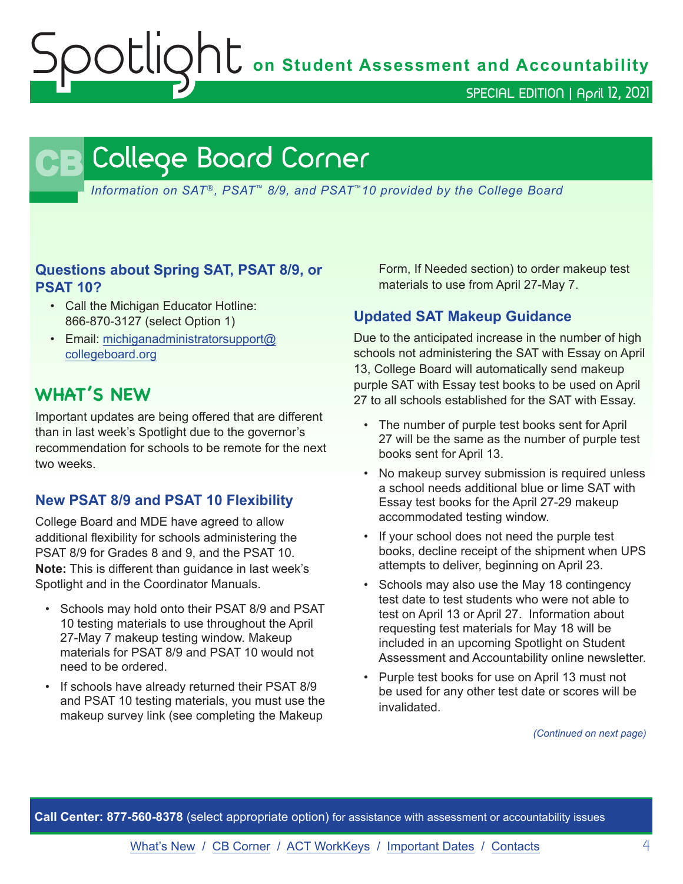**OL** on Student Assessment and Accountability

SPECIAL EDITION | April 12, 2021

## **CB** College Board Corner

<span id="page-3-0"></span>*Information on SAT*®*, PSAT*™ *8/9, and PSAT*™*10 provided by the College Board*

#### **Questions about Spring SAT, PSAT 8/9, or PSAT 10?**

- Call the Michigan Educator Hotline: 866-870-3127 (select Option 1)
- Email: [michiganadministratorsupport@](mailto:michiganadministratorsupport%40collegeboard.org?subject=) [collegeboard.org](mailto:michiganadministratorsupport%40collegeboard.org?subject=)

## **WHAT'S NEW**

Important updates are being offered that are different than in last week's Spotlight due to the governor's recommendation for schools to be remote for the next two weeks.

#### **New PSAT 8/9 and PSAT 10 Flexibility**

College Board and MDE have agreed to allow additional flexibility for schools administering the PSAT 8/9 for Grades 8 and 9, and the PSAT 10. **Note:** This is different than guidance in last week's Spotlight and in the Coordinator Manuals.

- Schools may hold onto their PSAT 8/9 and PSAT 10 testing materials to use throughout the April 27-May 7 makeup testing window. Makeup materials for PSAT 8/9 and PSAT 10 would not need to be ordered.
- If schools have already returned their PSAT 8/9 and PSAT 10 testing materials, you must use the makeup survey link (see completing the Makeup

Form, If Needed section) to order makeup test materials to use from April 27-May 7.

#### **Updated SAT Makeup Guidance**

Due to the anticipated increase in the number of high schools not administering the SAT with Essay on April 13, College Board will automatically send makeup purple SAT with Essay test books to be used on April 27 to all schools established for the SAT with Essay.

- The number of purple test books sent for April 27 will be the same as the number of purple test books sent for April 13.
- No makeup survey submission is required unless a school needs additional blue or lime SAT with Essay test books for the April 27-29 makeup accommodated testing window.
- If your school does not need the purple test books, decline receipt of the shipment when UPS attempts to deliver, beginning on April 23.
- Schools may also use the May 18 contingency test date to test students who were not able to test on April 13 or April 27. Information about requesting test materials for May 18 will be included in an upcoming Spotlight on Student Assessment and Accountability online newsletter.
- Purple test books for use on April 13 must not be used for any other test date or scores will be invalidated.

*(Continued on next page)*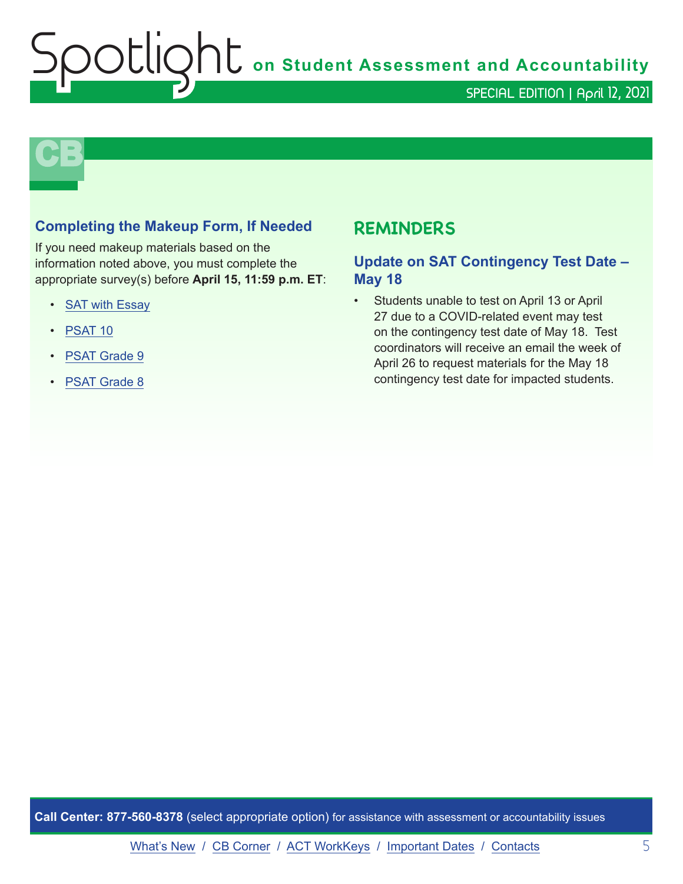**Shutter on Student Assessment and Accountability** 

SPECIAL EDITION | April 12, 2021

# **CB**

#### **Completing the Makeup Form, If Needed**

If you need makeup materials based on the information noted above, you must complete the appropriate survey(s) before **April 15, 11:59 p.m. ET**:

- [SAT with Essay](https://www.surveyresearchonline.com/se/7321E7ED57630E2F)
- [PSAT 10](https://www.surveyresearchonline.com/se/7321E7ED5B40B2AF)
- [PSAT Grade 9](https://www.surveyresearchonline.com/se/7321E7ED33A7FD61)
- [PSAT Grade 8](https://www.surveyresearchonline.com/se/7321E7ED5492E3E6)

## **REMINDERS**

#### **Update on SAT Contingency Test Date – May 18**

• Students unable to test on April 13 or April 27 due to a COVID-related event may test on the contingency test date of May 18. Test coordinators will receive an email the week of April 26 to request materials for the May 18 contingency test date for impacted students.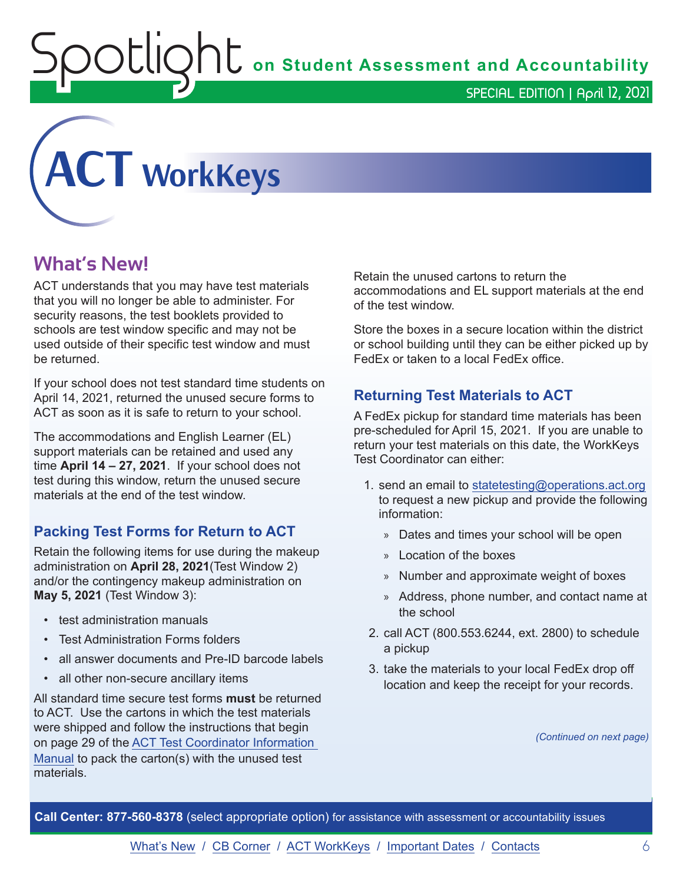**Shums** on Student Assessment and Accountability

SPECIAL EDITION | April 12, 2021

<span id="page-5-0"></span>

## **What's New!**

ACT understands that you may have test materials that you will no longer be able to administer. For security reasons, the test booklets provided to schools are test window specific and may not be used outside of their specific test window and must be returned.

If your school does not test standard time students on April 14, 2021, returned the unused secure forms to ACT as soon as it is safe to return to your school.

The accommodations and English Learner (EL) support materials can be retained and used any time **April 14 – 27, 2021**. If your school does not test during this window, return the unused secure materials at the end of the test window.

#### **Packing Test Forms for Return to ACT**

Retain the following items for use during the makeup administration on **April 28, 2021**(Test Window 2) and/or the contingency makeup administration on **May 5, 2021** (Test Window 3):

- test administration manuals
- Test Administration Forms folders
- all answer documents and Pre-ID barcode labels
- all other non-secure ancillary items

All standard time secure test forms **must** be returned to ACT. Use the cartons in which the test materials were shipped and follow the instructions that begin on page 29 of the [ACT Test Coordinator Information](https://www.act.org/content/dam/act/secured/documents/pdfs/state-district-test-coordinator-paper-test.pdf)  [Manual](https://www.act.org/content/dam/act/secured/documents/pdfs/state-district-test-coordinator-paper-test.pdf) to pack the carton(s) with the unused test materials.

Retain the unused cartons to return the accommodations and EL support materials at the end of the test window.

Store the boxes in a secure location within the district or school building until they can be either picked up by FedEx or taken to a local FedEx office.

#### **Returning Test Materials to ACT**

A FedEx pickup for standard time materials has been pre-scheduled for April 15, 2021. If you are unable to return your test materials on this date, the WorkKeys Test Coordinator can either:

- 1. send an email to [statetesting@operations.act.org](mailto:statetesting%40operations.act.org?subject=) to request a new pickup and provide the following information:
	- » Dates and times your school will be open
	- » Location of the boxes
	- » Number and approximate weight of boxes
	- » Address, phone number, and contact name at the school
- 2. call ACT (800.553.6244, ext. 2800) to schedule a pickup
- 3. take the materials to your local FedEx drop off location and keep the receipt for your records.

*(Continued on next page)*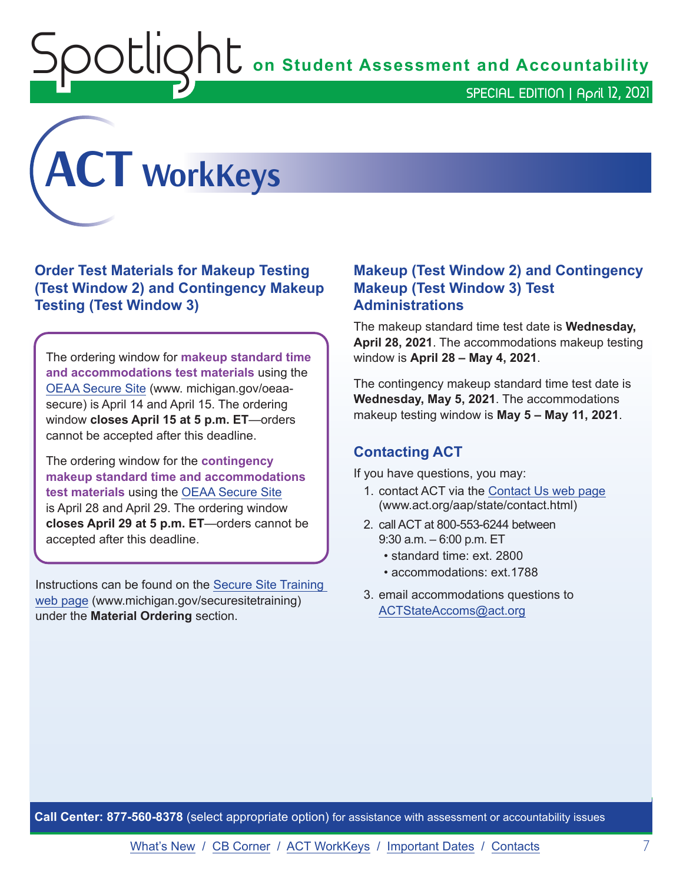$\mathop{\rm U}\nolimits\hspace{-0.1em}\parallel\hspace{-0.1em}\circ\hspace{-0.1em} \mathop{\rm C}\nolimits$  on Student Assessment and Accountability

SPECIAL EDITION | April 12, 2021



#### **Order Test Materials for Makeup Testing (Test Window 2) and Contingency Makeup Testing (Test Window 3)**

The ordering window for **makeup standard time and accommodations test materials** using the [OEAA Secure Site](http://www.michigan.gov/oeaa-secure) (www. michigan.gov/oeaasecure) is April 14 and April 15. The ordering window **closes April 15 at 5 p.m. ET**—orders cannot be accepted after this deadline.

The ordering window for the **contingency makeup standard time and accommodations test materials** using the [OEAA Secure Site](http://www.michigan.gov/oeaa-secure) is April 28 and April 29. The ordering window **closes April 29 at 5 p.m. ET**—orders cannot be accepted after this deadline.

Instructions can be found on the [Secure Site Training](http://www.michigan.gov/securesitetraining)  [web page](http://www.michigan.gov/securesitetraining) (www.michigan.gov/securesitetraining) under the **Material Ordering** section.

#### **Makeup (Test Window 2) and Contingency Makeup (Test Window 3) Test Administrations**

The makeup standard time test date is **Wednesday, April 28, 2021**. The accommodations makeup testing window is **April 28 – May 4, 2021**.

The contingency makeup standard time test date is **Wednesday, May 5, 2021**. The accommodations makeup testing window is **May 5 – May 11, 2021**.

#### **Contacting ACT**

If you have questions, you may:

- 1. contact ACT via the [Contact Us web page](http://www.act.org/aap/state/contact.html) [\(www.act.org/aap/state/contact.html\)](https://www.act.org/aap/state/contact.html)
- 2. call ACT at 800-553-6244 between 9:30 a.m. – 6:00 p.m. ET
	- standard time: ext. 2800
	- accommodations: ext.1788
- 3. email accommodations questions to [ACTStateAccoms@act.org](mailto:ACTStateAccoms%40act.org?subject=)

**Call Center: 877-560-8378** (select appropriate option) for assistance with assessment or accountability issues

[What's New](#page-0-0) / [CB Corner](#page-3-0) / [ACT WorkKeys](#page-5-0) / [Important Dates](#page-7-0) / [Contacts](#page-9-0) 7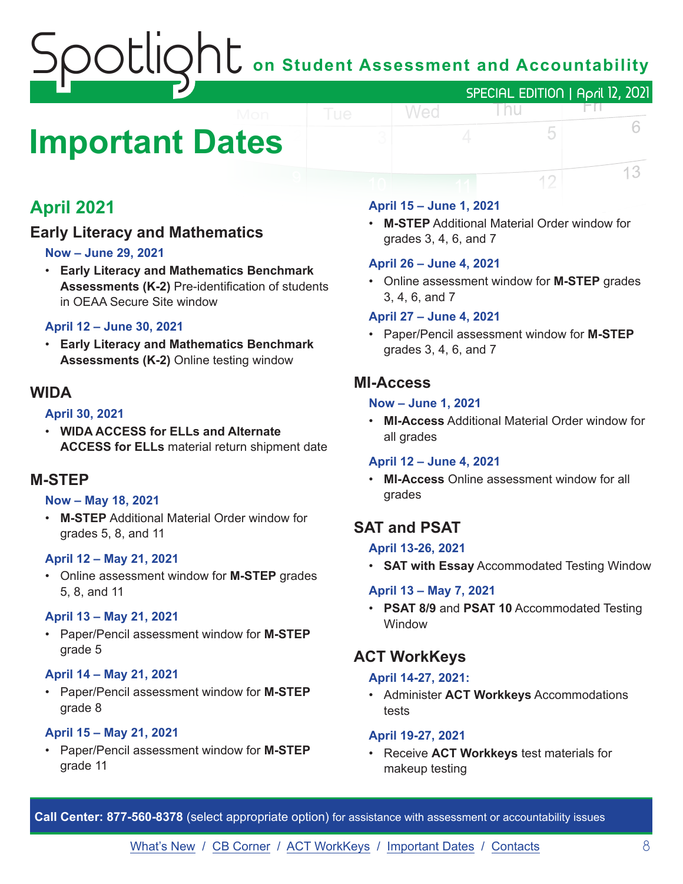## $\bigcap$   $\overline{\mathsf{C}}$  on Student Assessment and Accountability SPECIAL EDITION | April 12, 2021

# <span id="page-7-0"></span>**Important Dates**

## **April 2021**

### **Early Literacy and Mathematics**

#### **Now – June 29, 2021**

• **Early Literacy and Mathematics Benchmark Assessments (K-2)** Pre-identification of students in OEAA Secure Site window

#### **April 12 – June 30, 2021**

• **Early Literacy and Mathematics Benchmark Assessments (K-2)** Online testing window

#### **WIDA**

#### **April 30, 2021**

• **WIDA ACCESS for ELLs and Alternate ACCESS for ELLs** material return shipment date

#### **M-STEP**

#### **Now – May 18, 2021**

• **M-STEP** Additional Material Order window for grades 5, 8, and 11

#### **April 12 – May 21, 2021**

• Online assessment window for **M-STEP** grades 5, 8, and 11

#### **April 13 – May 21, 2021**

• Paper/Pencil assessment window for **M-STEP** grade 5

#### **April 14 – May 21, 2021**

• Paper/Pencil assessment window for **M-STEP** grade 8

#### **April 15 – May 21, 2021**

• Paper/Pencil assessment window for **M-STEP** grade 11

#### **April 15 – June 1, 2021**

Wed

• **M-STEP** Additional Material Order window for grades 3, 4, 6, and 7

l nu

5

12

FN.

6

13

#### **April 26 – June 4, 2021**

• Online assessment window for **M-STEP** grades 3, 4, 6, and 7

#### **April 27 – June 4, 2021**

• Paper/Pencil assessment window for **M-STEP**  grades 3, 4, 6, and 7

#### **MI-Access**

#### **Now – June 1, 2021**

• **MI-Access** Additional Material Order window for all grades

#### **April 12 – June 4, 2021**

• **MI-Access** Online assessment window for all grades

#### **SAT and PSAT**

#### **April 13-26, 2021**

• **SAT with Essay** Accommodated Testing Window

#### **April 13 – May 7, 2021**

• **PSAT 8/9** and **PSAT 10** Accommodated Testing **Window** 

#### **ACT WorkKeys**

#### **April 14-27, 2021:**

• Administer **ACT Workkeys** Accommodations tests

#### **April 19-27, 2021**

• Receive **ACT Workkeys** test materials for makeup testing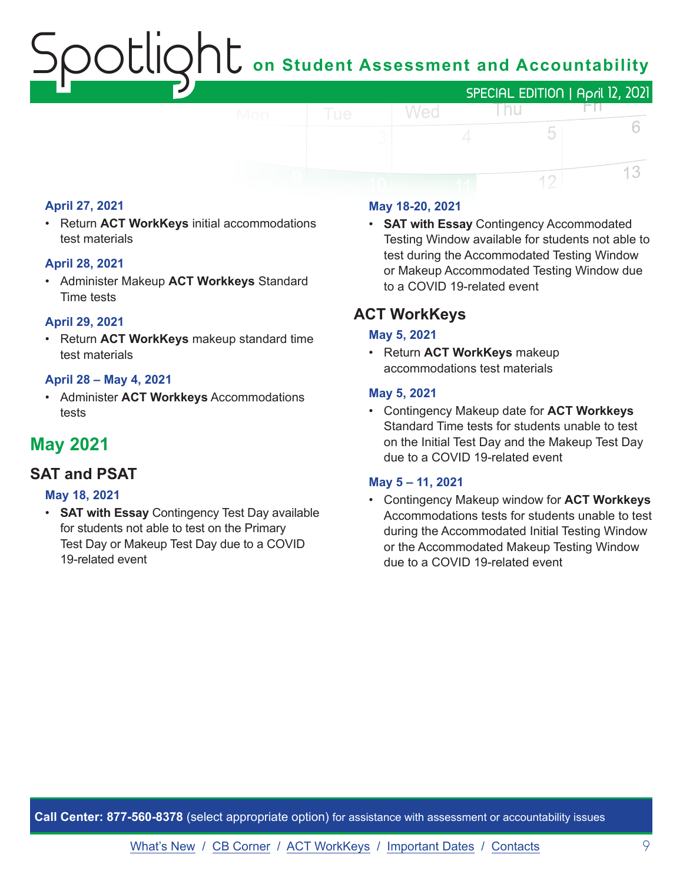## on Student Assessment and Accountability



#### **April 27, 2021**

• Return **ACT WorkKeys** initial accommodations test materials

#### **April 28, 2021**

• Administer Makeup **ACT Workkeys** Standard Time tests

#### **April 29, 2021**

• Return **ACT WorkKeys** makeup standard time test materials

#### **April 28 – May 4, 2021**

• Administer **ACT Workkeys** Accommodations tests

### **May 2021**

#### **SAT and PSAT**

#### **May 18, 2021**

• **SAT with Essay** Contingency Test Day available for students not able to test on the Primary Test Day or Makeup Test Day due to a COVID 19-related event

#### **May 18-20, 2021**

• **SAT with Essay** Contingency Accommodated Testing Window available for students not able to test during the Accommodated Testing Window or Makeup Accommodated Testing Window due to a COVID 19-related event

#### **ACT WorkKeys**

#### **May 5, 2021**

• Return **ACT WorkKeys** makeup accommodations test materials

#### **May 5, 2021**

• Contingency Makeup date for **ACT Workkeys** Standard Time tests for students unable to test on the Initial Test Day and the Makeup Test Day due to a COVID 19-related event

#### **May 5 – 11, 2021**

• Contingency Makeup window for **ACT Workkeys** Accommodations tests for students unable to test during the Accommodated Initial Testing Window or the Accommodated Makeup Testing Window due to a COVID 19-related event